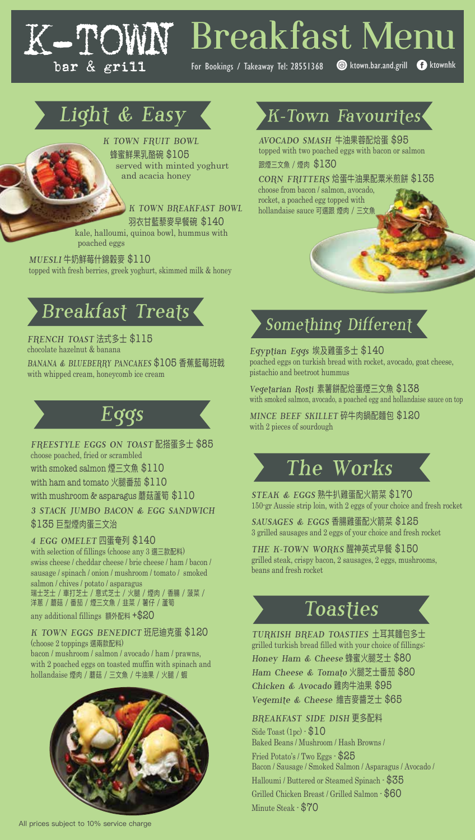# **Breakfast Menu**

For Bookings / Takeaway Tel: 28551368 **C**ktown.bar.and.grill **f** ktownhk

# Light & Easy

K-TOI

bar & grill

K TOWN FRUIT BOWL 蜂蜜鮮果乳酪碗 \$105 served with minted yoghurt and acacia honey

> K TOWN BREAKFAST BOWL 羽衣甘藍藜麥早餐碗 \$140

kale, halloumi, quinoa bowl, hummus with poached eggs

MUESLI 牛奶鮮莓什錦穀麥 \$110 topped with fresh berries, greek yoghurt, skimmed milk & honey

# Breakfast Treats

FRENCH TOAST 法式多士 \$115 chocolate hazelnut & banana BANANA & BLUEBERRY PANCAKES \$105 香蕉藍莓班戟 with whipped cream, honeycomb ice cream



FREESTYLE EGGS ON TOAST 配搭蛋多士 \$85 choose poached, fried or scrambled with smoked salmon 煙三文魚 \$110 with ham and tomato 火腿番茄 \$110 with mushroom & asparagus 蘑菇蘆筍 \$110

3 STACK JUMBO BACON & EGG SANDWICH \$135 巨型煙肉蛋三文治

4 EGG OMELET 四蛋奄列 \$140 with selection of fillings (choose any 3 選三款配料) swiss cheese / cheddar cheese / brie cheese / ham / bacon / sausage / spinach / onion / mushroom / tomato / smoked salmon / chives / potato / asparagus 瑞士芝士 / 車打芝士 / 意式芝士 / 火腿 / 煙肉 / 香腸 / 菠菜 /

洋蔥 / 蘑菇 / 番茄 / 煙三文魚 / 韭菜 / 薯仔 / 蘆筍

any additional fillings 額外配料 +\$20

#### K TOWN EGGS BENEDICT 班尼迪克蛋 \$120 (choose 2 toppings 選兩款配料)

bacon / mushroom / salmon / avocado / ham / prawns, with 2 poached eggs on toasted muffin with spinach and hollandaise 煙肉 / 蘑菇 / 三文魚 / 牛油果 / 火腿 / 蝦



## K-Town Favourites

AVOCADO SMASH 牛油果蓉配烚蛋 \$95 topped with two poached eggs with bacon or salmon 跟煙三文魚 / 煙肉 \$130

CORN FRITTERS 烚蛋牛油果配粟米煎餅 \$135

choose from bacon / salmon, avocado, rocket, a poached egg topped with hollandaise sauce 可選跟 煙肉 / 三文魚

# Something Different

Egyptian Eggs 埃及雞蛋多士 \$140 poached eggs on turkish bread with rocket, avocado, goat cheese, pistachio and beetroot hummus

Vegetarian Rosti 素薯餅配烚蛋煙三文魚 \$138 with smoked salmon, avocado, a poached egg and hollandaise sauce on top

MINCE BEEF SKILLET 碎牛肉鍋配麵包 \$120 with 2 pieces of sourdough

# The Works

STEAK & EGGS 熟牛扒雞蛋配火箭菜 \$170 150-gr Aussie strip loin, with 2 eggs of your choice and fresh rocket

SAUSAGES & EGGS 香腸雞蛋配火箭菜 \$125 3 grilled sausages and 2 eggs of your choice and fresh rocket

THE K-TOWN WORKS 醒神英式早餐 \$150 grilled steak, crispy bacon, 2 sausages, 2 eggs, mushrooms, beans and fresh rocket

# Toasties

TURKISH BREAD TOASTIES 土耳其麵包多士 grilled turkish bread filled with your choice of fillings: Honey Ham & Cheese 蜂蜜火腿芝士 \$80 Ham Cheese & Tomato 火腿芝士番茄 \$80 Chicken & Avocado 雞肉牛油果 \$95 Vegemite & Cheese 維吉麥醬芝士 \$65

BREAKFAST SIDE DISH 更多配料

Side Toast (1pc) - \$10 Baked Beans / Mushroom / Hash Browns / Fried Potato's / Two Eggs - \$25 Bacon / Sausage / Smoked Salmon / Asparagus / Avocado / Halloumi / Buttered or Steamed Spinach - \$35 Grilled Chicken Breast / Grilled Salmon - \$60 Minute Steak - \$70